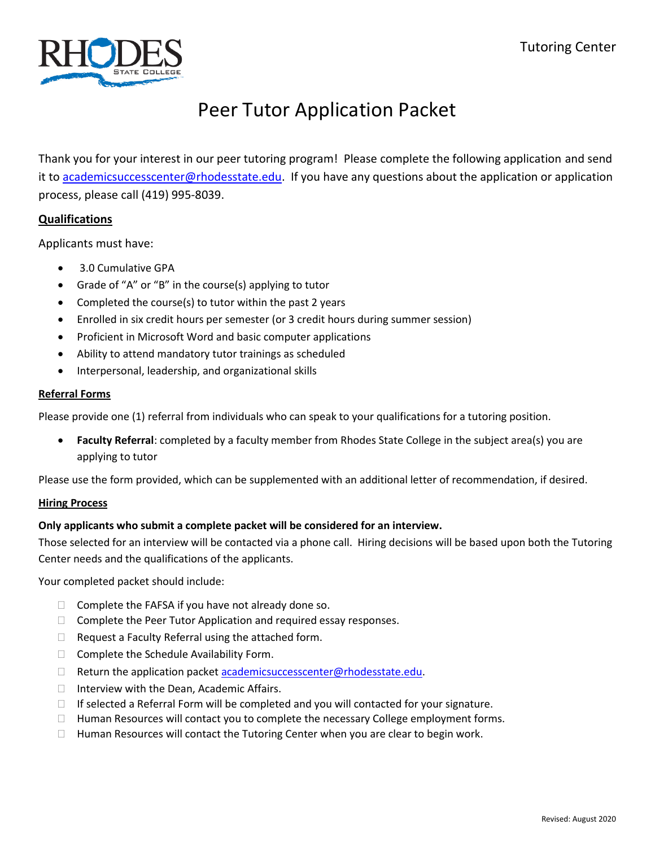

## Peer Tutor Application Packet

Thank you for your interest in our peer tutoring program! Please complete the following application and send it to [academicsuccesscenter@rhodesstate.edu.](mailto:academicsuccesscenter@rhodesstate.edu) If you have any questions about the application or application process, please call (419) 995-8039.

### **Qualifications**

Applicants must have:

- 3.0 Cumulative GPA
- Grade of "A" or "B" in the course(s) applying to tutor
- Completed the course(s) to tutor within the past 2 years
- Enrolled in six credit hours per semester (or 3 credit hours during summer session)
- Proficient in Microsoft Word and basic computer applications
- Ability to attend mandatory tutor trainings as scheduled
- Interpersonal, leadership, and organizational skills

#### **Referral Forms**

Please provide one (1) referral from individuals who can speak to your qualifications for a tutoring position.

• **Faculty Referral**: completed by a faculty member from Rhodes State College in the subject area(s) you are applying to tutor

Please use the form provided, which can be supplemented with an additional letter of recommendation, if desired.

#### **Hiring Process**

#### **Only applicants who submit a complete packet will be considered for an interview.**

Those selected for an interview will be contacted via a phone call. Hiring decisions will be based upon both the Tutoring Center needs and the qualifications of the applicants.

Your completed packet should include:

- $\Box$  Complete the FAFSA if you have not already done so.
- $\Box$  Complete the Peer Tutor Application and required essay responses.
- $\Box$  Request a Faculty Referral using the attached form.
- $\Box$  Complete the Schedule Availability Form.
- $\Box$  Return the application packet [academicsuccesscenter@rhodesstate.edu.](mailto:academicsuccesscenter@rhodesstate.edu)
- $\Box$  Interview with the Dean, Academic Affairs.
- $\Box$  If selected a Referral Form will be completed and you will contacted for your signature.
- $\Box$  Human Resources will contact you to complete the necessary College employment forms.
- $\Box$  Human Resources will contact the Tutoring Center when you are clear to begin work.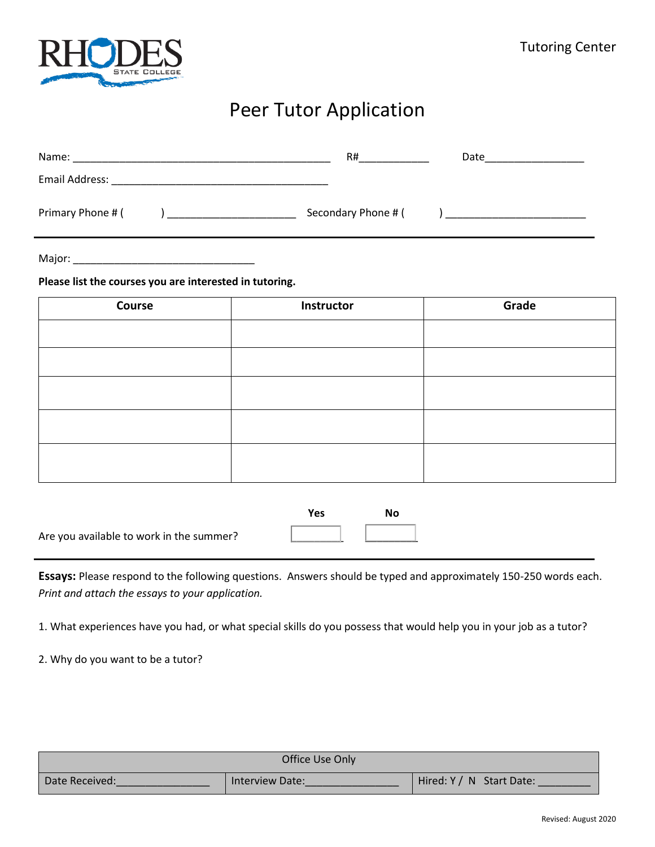

## Peer Tutor Application

| Name:                 | R#                  | Date |
|-----------------------|---------------------|------|
| <b>Email Address:</b> |                     |      |
| Primary Phone # (     | Secondary Phone # ( |      |

Major: \_\_\_\_\_\_\_\_\_\_\_\_\_\_\_\_\_\_\_\_\_\_\_\_\_\_\_\_\_\_\_

**Please list the courses you are interested in tutoring.** 

| Course | Instructor | Grade |
|--------|------------|-------|
|        |            |       |
|        |            |       |
|        |            |       |
|        |            |       |
|        |            |       |

|                                          | Yes | Nο |
|------------------------------------------|-----|----|
| Are you available to work in the summer? |     |    |

**Essays:** Please respond to the following questions. Answers should be typed and approximately 150-250 words each. *Print and attach the essays to your application.*

1. What experiences have you had, or what special skills do you possess that would help you in your job as a tutor?

2. Why do you want to be a tutor?

|                | Office Use Only |                          |
|----------------|-----------------|--------------------------|
| Date Received: | Interview Date: | Hired: Y / N Start Date: |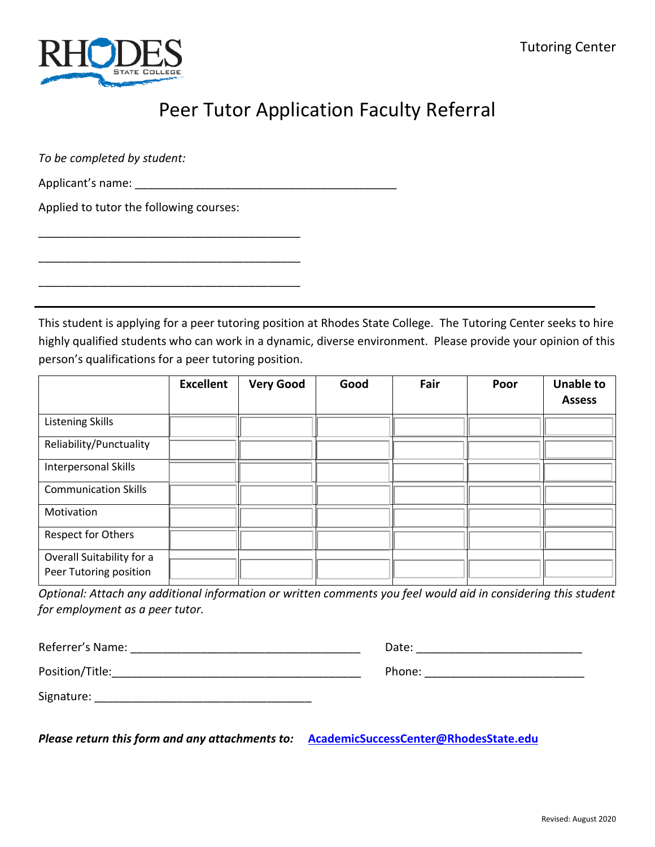

### Peer Tutor Application Faculty Referral

*To be completed by student:*

Applicant's name: \_\_\_\_\_\_\_\_\_\_\_\_\_\_\_\_\_\_\_\_\_\_\_\_\_\_\_\_\_\_\_\_\_\_\_\_\_\_\_\_\_

\_\_\_\_\_\_\_\_\_\_\_\_\_\_\_\_\_\_\_\_\_\_\_\_\_\_\_\_\_\_\_\_\_\_\_\_\_\_\_\_\_

\_\_\_\_\_\_\_\_\_\_\_\_\_\_\_\_\_\_\_\_\_\_\_\_\_\_\_\_\_\_\_\_\_\_\_\_\_\_\_\_\_

\_\_\_\_\_\_\_\_\_\_\_\_\_\_\_\_\_\_\_\_\_\_\_\_\_\_\_\_\_\_\_\_\_\_\_\_\_\_\_\_\_

Applied to tutor the following courses:

This student is applying for a peer tutoring position at Rhodes State College. The Tutoring Center seeks to hire highly qualified students who can work in a dynamic, diverse environment. Please provide your opinion of this person's qualifications for a peer tutoring position.

|                                                     | <b>Excellent</b> | <b>Very Good</b> | Good | Fair | Poor | <b>Unable to</b><br><b>Assess</b> |
|-----------------------------------------------------|------------------|------------------|------|------|------|-----------------------------------|
| <b>Listening Skills</b>                             |                  |                  |      |      |      |                                   |
| Reliability/Punctuality                             |                  |                  |      |      |      |                                   |
| Interpersonal Skills                                |                  |                  |      |      |      |                                   |
| <b>Communication Skills</b>                         |                  |                  |      |      |      |                                   |
| Motivation                                          |                  |                  |      |      |      |                                   |
| Respect for Others                                  |                  |                  |      |      |      |                                   |
| Overall Suitability for a<br>Peer Tutoring position |                  |                  |      |      |      |                                   |

*Optional: Attach any additional information or written comments you feel would aid in considering this student for employment as a peer tutor.*

| Referrer's Name: | Date:  |
|------------------|--------|
| Position/Title:  | Phone: |
| Signature:       |        |

*Please return this form and any attachments to:* **[AcademicSuccessCenter@RhodesState.edu](mailto:AcademicSuccessCenter@RhodesState.edu)**